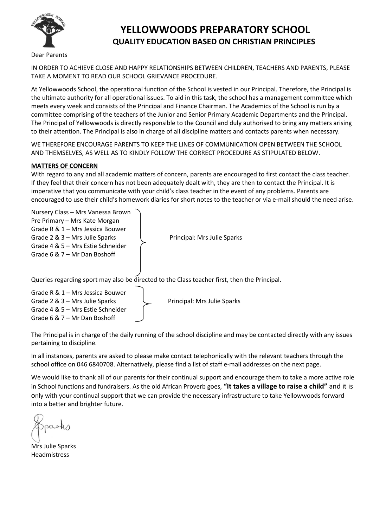

## **YELLOWWOODS PREPARATORY SCHOOL QUALITY EDUCATION BASED ON CHRISTIAN PRINCIPLES**

Dear Parents

IN ORDER TO ACHIEVE CLOSE AND HAPPY RELATIONSHIPS BETWEEN CHILDREN, TEACHERS AND PARENTS, PLEASE TAKE A MOMENT TO READ OUR SCHOOL GRIEVANCE PROCEDURE.

At Yellowwoods School, the operational function of the School is vested in our Principal. Therefore, the Principal is the ultimate authority for all operational issues. To aid in this task, the school has a management committee which meets every week and consists of the Principal and Finance Chairman. The Academics of the School is run by a committee comprising of the teachers of the Junior and Senior Primary Academic Departments and the Principal. The Principal of Yellowwoods is directly responsible to the Council and duly authorised to bring any matters arising to their attention. The Principal is also in charge of all discipline matters and contacts parents when necessary.

WE THEREFORE ENCOURAGE PARENTS TO KEEP THE LINES OF COMMUNICATION OPEN BETWEEN THE SCHOOL AND THEMSELVES, AS WELL AS TO KINDLY FOLLOW THE CORRECT PROCEDURE AS STIPULATED BELOW.

## **MATTERS OF CONCERN**

Grade 4 & 5 – Mrs Estie Schneider Grade 6 & 7 – Mr Dan Boshoff

With regard to any and all academic matters of concern, parents are encouraged to first contact the class teacher. If they feel that their concern has not been adequately dealt with, they are then to contact the Principal. It is imperative that you communicate with your child's class teacher in the event of any problems. Parents are encouraged to use their child's homework diaries for short notes to the teacher or via e-mail should the need arise.

| Nursery Class - Mrs Vanessa Brown |                                                                                              |
|-----------------------------------|----------------------------------------------------------------------------------------------|
| Pre Primary - Mrs Kate Morgan     |                                                                                              |
| Grade R & 1 - Mrs Jessica Bouwer  |                                                                                              |
| Grade 2 & 3 – Mrs Julie Sparks    | Principal: Mrs Julie Sparks                                                                  |
| Grade 4 & 5 - Mrs Estie Schneider |                                                                                              |
| Grade 6 & 7 – Mr Dan Boshoff      |                                                                                              |
|                                   |                                                                                              |
|                                   |                                                                                              |
|                                   | Queries regarding sport may also be directed to the Class teacher first, then the Principal. |
| Grade R & 1 - Mrs Jessica Bouwer  |                                                                                              |
|                                   |                                                                                              |
| Grade 2 & 3 – Mrs Julie Sparks    | Principal: Mrs Julie Sparks                                                                  |

The Principal is in charge of the daily running of the school discipline and may be contacted directly with any issues pertaining to discipline.

In all instances, parents are asked to please make contact telephonically with the relevant teachers through the school office on 046 6840708. Alternatively, please find a list of staff e-mail addresses on the next page.

We would like to thank all of our parents for their continual support and encourage them to take a more active role in School functions and fundraisers. As the old African Proverb goes, **"It takes a village to raise a child"** and it is only with your continual support that we can provide the necessary infrastructure to take Yellowwoods forward into a better and brighter future.

Mrs Julie Sparks Headmistress